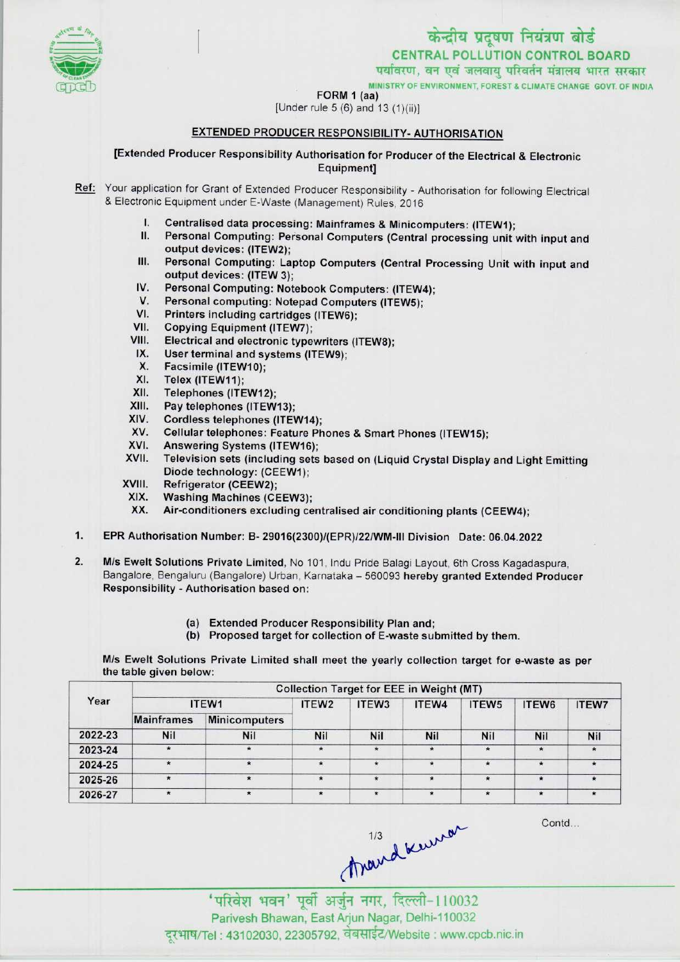

CENTRAL POLLUTION CONTROL BOARD<br>पर्यावरण, वन एवं जलवाय परिवर्तन मंत्रालय भारत सरकार

MINISTRY OF ENVIRONMENT, FOREST & CLIMATE CHANGE GOVT. OF INDIA

FORM 1 (aa)

## [Under rule  $5(6)$  and  $13(1)(ii)$ ]

## EXTENDED PRODUCER RESPONSIBILITY- AUTHORISATION

[Extended Producer Responsibility Authorisation for Producer of the Electrical & Electronic Equipment]

Ref: Your application for Grant of Extended Producer Responsibility - Authorisation for following Electrical & Electronic Equipment under E-Waste (Management) Rules, 2016

- I. Centralised data processing: Mainframes & Minicomputers: (ITEW1);
- Personal Computing: Personal Computers (Central processing unit with input and output devices: (ITEW2);
- III. Personal Computing: Laptop Computers (Central Processing Unit with input and output devices: (ITEW 3);
- IV. Personal Computing: Notebook Computers: (ITEW4);<br>V. Personal computing: Notepad Computers (ITEW5):
- V. Personal computing: Notepad Computers (ITEW5);<br>VI. Printers including cartridges (ITEW6): IV. Personal Computing: Notebook Comp<br>V. Personal computing: Notepad Compu<br>VI. Printers including cartridges (ITEW6);<br>/II. Conving Equipment (ITEW7);
- 
- V. Personal computing: Notepa<br>VII. Copying Equipment (ITEW7);<br>VII. Electrical and electronic type
- VI. Printers including cartridges (ITEW6);<br>VII. Copying Equipment (ITEW7);<br>VIII. Electrical and electronic typewriters (ITEW8);<br>IX. Hear terminal and eveterns (ITEW9); III. Copying Equipment (ITEW7);<br>III. Electrical and electronic typewriters<br>IX. User terminal and systems (ITEW9); VIII. Electrical and electronic typewriters<br>IX. User terminal and systems (ITEW9);<br>X. Facsimile (ITEW10);<br>XI. Telex (ITEW11);
- 
- 
- XI. Telex (ITEW11);<br>XII. Telephones (ITE
- XII. Telephones (ITEW12);<br>XIII. Pav telephones (ITEW
- XIII. Pay telephones (ITEW13);<br>XIV. Cordless telephones (ITEV
- XIV. Cordless telephones (ITEW14);<br>XV. Cellular telephones: Feature Ph
- XIII. Pay telephones (ITEW13);<br>KIV. Cordiess telephones (ITEW14);<br>XV. Cellular telephones: Feature Phones & Smart Phones (ITEW15); XIV. Cordiess telephones (ITEW14)<br>XV. Cellular telephones: Feature P<br>XVI. Answering Systems (ITEW16);
- 
- XVI. Answering Systems (ITEW16);<br>XVII. Television sets (including sets based on (Liquid Crystal Display and Light Emitting Diode technology: (CEEW1);
- XVIII. Refrigerator (CEEW2);
- XIX. Washing Machines (CEEW3);<br>XX. Air-conditioners excluding ce
- Air-conditioners excluding centralised air conditioning plants (CEEW4);
- 1.EPR Authorisation Number: B- 29016(2300)/(EPR)/22/WM-lll Division Date: 06.04.2022

2. M/s Ewelt Solutions Private Limited, No 101, Indu Pride Balagi Layout, 6th Cross Kagadaspura, Bangalore, Bengaluru (Bangalore) Urban, Karnataka - 560093 hereby granted Extended Producer Responsibility • Authorisation based on:

- (a) Extended Producer Responsibility Plan and;
- (b) Proposed target for collection of E-waste submitted by them.

M/s Ewelt Solutions Private Limited shall meet the yearly collection target for e-waste as per the table given below:

| Year    | <b>Collection Target for EEE in Weight (MT)</b> |                      |                   |                   |            |                   |            |              |  |  |  |
|---------|-------------------------------------------------|----------------------|-------------------|-------------------|------------|-------------------|------------|--------------|--|--|--|
|         | ITEW1                                           |                      | ITEW <sub>2</sub> | ITEW <sub>3</sub> | ITEW4      | ITEW <sub>5</sub> | ITEW6      | <b>ITEW7</b> |  |  |  |
|         | <b>Mainframes</b>                               | <b>Minicomputers</b> |                   |                   |            |                   |            |              |  |  |  |
| 2022-23 | <b>Nil</b>                                      | <b>Nil</b>           | <b>Nil</b>        | <b>Nil</b>        | <b>Nil</b> | <b>Nil</b>        | <b>Nil</b> | <b>Nil</b>   |  |  |  |
| 2023-24 | *                                               | $\star$              | $\star$           | $\star$           |            | $\star$           | $\bullet$  |              |  |  |  |
| 2024-25 |                                                 | $\star$              | $\star$           | $\star$           | $\star$    | $\star$           | $\star$    |              |  |  |  |
| 2025-26 |                                                 | $\star$              | $\star$           | $\star$           | $\star$    | $\star$           | $\star$    |              |  |  |  |
| 2026-27 |                                                 | $\star$              | $\star$           | $\star$           | $\star$    | $\star$           | $\star$    | $\star$      |  |  |  |

Contd

Mandkurrar

'परिवेश भवन' पूर्वी अर्जुन नगर, दिल्ली-110032 Parivesh Bhawan, EastArjun Nagar, Delhi-110032 दूरभाष/Tel : 43102030, 22305792, वेबसाईट/Website : www.cpcb.nic.in

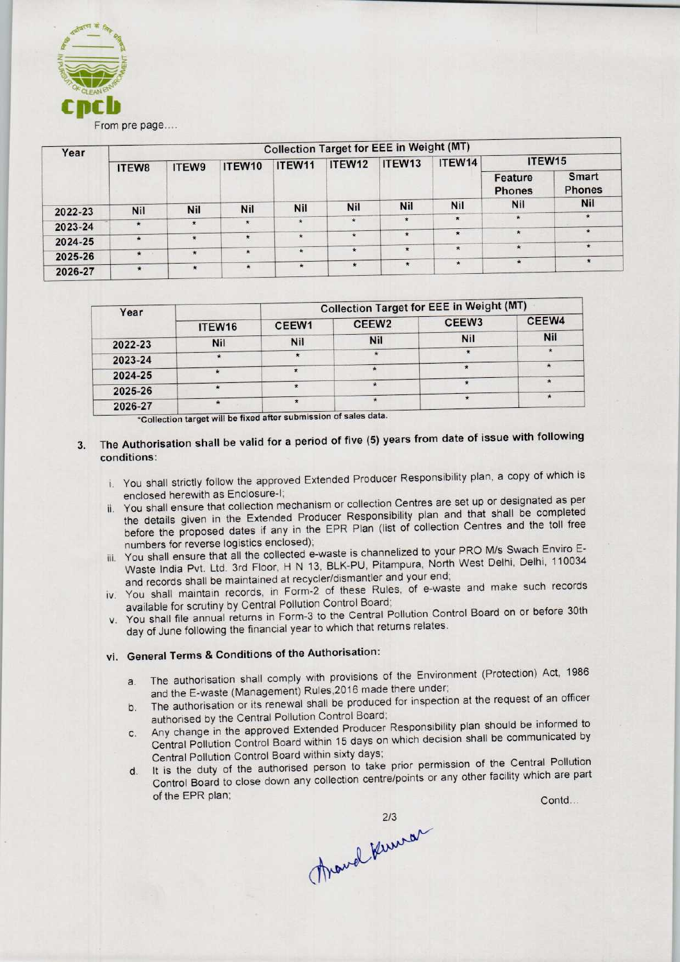

| Year    | <b>Collection Target for EEE in Weight (MT)</b> |            |               |               |            |         |            |                          |                        |  |  |
|---------|-------------------------------------------------|------------|---------------|---------------|------------|---------|------------|--------------------------|------------------------|--|--|
|         | ITEW8                                           | ITEW9      | ITEW10        | ITEW11        | ITEW12     | ITEW13  | ITEW14     | ITEW <sub>15</sub>       |                        |  |  |
|         |                                                 |            |               |               |            |         |            | Feature<br><b>Phones</b> | Smart<br><b>Phones</b> |  |  |
| 2022-23 | Nil                                             | <b>Nil</b> | Nil           | Nil           | <b>Nil</b> | Nil     | <b>Nil</b> | Nil                      | <b>Nil</b>             |  |  |
|         |                                                 |            | $\star$       | $\pmb{\star}$ | $\star$    |         | $\star$    | $\star$                  | $\star$                |  |  |
| 2023-24 | $\star$                                         | $\star$    |               |               |            |         |            |                          | $\star$                |  |  |
| 2024-25 | $\star$                                         | $\star$    | $\star$       | $\star$       | $\star$    | $\star$ | $\star$    | $\star$                  |                        |  |  |
|         |                                                 |            | $\star$       | $\star$       | $\star$    | $\star$ | $\star$    | $\star$                  | $\star$                |  |  |
| 2025-26 | $\star$                                         | $\star$    |               |               |            |         |            |                          | $\star$                |  |  |
| 2026-27 | $\star$                                         |            | $\pmb{\star}$ | $\star$       | $\star$    | $\star$ | $\star$    | $\star$                  |                        |  |  |

| Year    |            | <b>Collection Target for EEE in Weight (MT)</b> |                   |                   |       |  |  |
|---------|------------|-------------------------------------------------|-------------------|-------------------|-------|--|--|
|         | ITEW16     | CEEW1                                           | CEEW <sub>2</sub> | CEEW <sub>3</sub> | CEEW4 |  |  |
| 2022-23 | <b>Nil</b> | <b>Nil</b>                                      | <b>Nil</b>        | <b>Nil</b>        | Nil   |  |  |
| 2023-24 |            |                                                 |                   |                   |       |  |  |
| 2024-25 |            |                                                 |                   | $\star$           |       |  |  |
| 2025-26 |            |                                                 |                   |                   |       |  |  |
| 2026-27 |            |                                                 |                   |                   |       |  |  |

- 3. The Authorisation shall be valid for a period of five (5) years from date of issue with following conditions:
	- i. You shall strictly follow the approved Extended Producer Responsibility plan, a copy of which is enclosed herewith as Enclosure-I;
- ii. You shall ensure that collection mechanism or collection Centres are set up or designated as per the details given in the Extended Producer Responsibility plan and that shall be completed before the proposed dates if any in the EPR Plan {list of collection Centres and the toll free numbers for reverse logistics enclosed); **Example 12**<br> **Example 12**<br> **Example 12**<br> **Example 12**<br> **Example 12**<br> **Example 12**<br> **Example 12**<br> **Example 12**<br> **Example 12**<br> **Example 12**<br> **Example 12**<br> **Example 12**<br> **Example 12**<br> **Example 12**<br> **Example 12**<br> **Example 12** 
	- iii. You shall ensure that all the collected e-waste is channelized to your PRO M/s Swach Enviro E-Waste India Pvt. Ltd. 3rd Floor, H N 13, BLK-PU, Pitampura, North West Delhi, Delhi, 110034 and records shall be maintained at recycler/dismantler and your end;
	- iv. You shall maintain records, in Form-2 of these Rules, of e-waste and make such records available for scrutiny by Central Pollution Control Board;
	- v. You shall file annual returns in Form-3 to the Central Pollution Control Board on or before 30th day of June following the financial year to which that returns relates.

## vi. General Terms & Conditions of the Authorisation:

- a. The authorisation shall comply with provisions of the Environment (Protection) Act, 1986 and the E-waste (Management) Rules.2016 made there under;
- b.The authorisation or its renewal shall be produced for inspection at the request of an officer authorised by the Central Pollution Control Board;
- c.Any change in the approved Extended Producer Responsibility plan should be informed to Central Pollution Control Board within 15 days on which decision shall be communicated by Central Pollution Control Board within sixty days; Solutions relates.<br>
Solutions and the Environment (Protection) Act, 19<br>
there under;<br>
d for inspection at the request of an official;<br>
Responsibility plan should be informed<br>
prior permission of the Central Pollut<br>
e/point
- d. It is the duty of the authorised person to take prior permission of the Central Pollution It is the duty of the authorised person to take pro-permitting the facility which are part

Thand Kuman